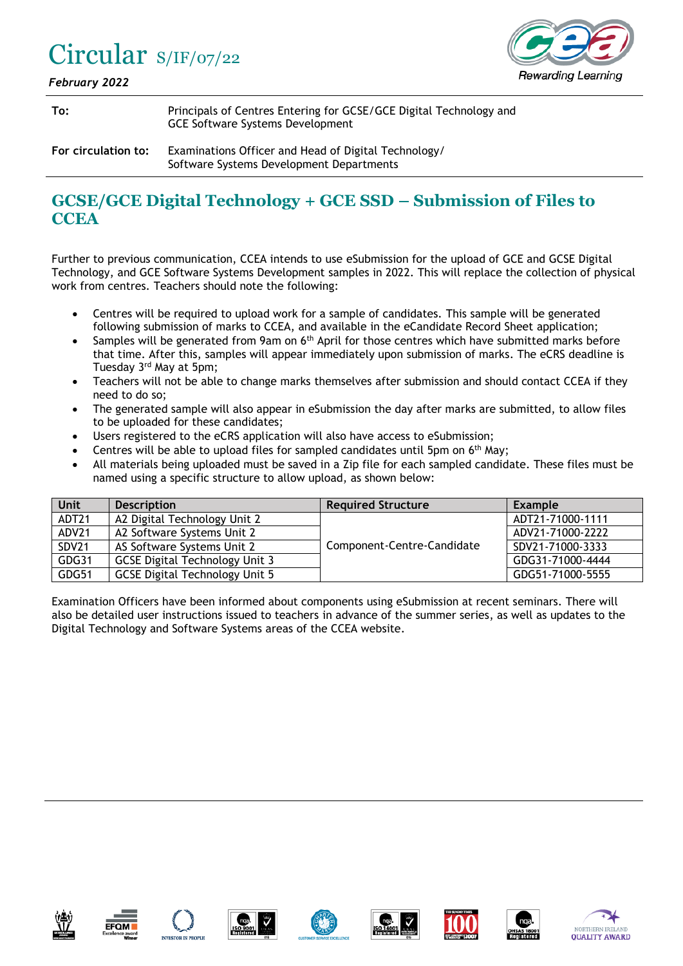## Circular S/IF/07/22



*February 2022*

| To:                 | Principals of Centres Entering for GCSE/GCE Digital Technology and<br>GCE Software Systems Development |
|---------------------|--------------------------------------------------------------------------------------------------------|
| For circulation to: | Examinations Officer and Head of Digital Technology/<br>Software Systems Development Departments       |

## **GCSE/GCE Digital Technology + GCE SSD – Submission of Files to CCEA**

Further to previous communication, CCEA intends to use eSubmission for the upload of GCE and GCSE Digital Technology, and GCE Software Systems Development samples in 2022. This will replace the collection of physical work from centres. Teachers should note the following:

- Centres will be required to upload work for a sample of candidates. This sample will be generated following submission of marks to CCEA, and available in the eCandidate Record Sheet application;
- Samples will be generated from 9am on 6<sup>th</sup> April for those centres which have submitted marks before that time. After this, samples will appear immediately upon submission of marks. The eCRS deadline is Tuesday 3rd May at 5pm;
- Teachers will not be able to change marks themselves after submission and should contact CCEA if they need to do so;
- The generated sample will also appear in eSubmission the day after marks are submitted, to allow files to be uploaded for these candidates;
- Users registered to the eCRS application will also have access to eSubmission;
- Centres will be able to upload files for sampled candidates until 5pm on  $6<sup>th</sup>$  May;
- All materials being uploaded must be saved in a Zip file for each sampled candidate. These files must be named using a specific structure to allow upload, as shown below:

| Unit              | <b>Description</b>                    | <b>Required Structure</b>  | <b>Example</b>   |
|-------------------|---------------------------------------|----------------------------|------------------|
| ADT <sub>21</sub> | A2 Digital Technology Unit 2          |                            | ADT21-71000-1111 |
| ADV21             | A2 Software Systems Unit 2            |                            | ADV21-71000-2222 |
| SDV21             | AS Software Systems Unit 2            | Component-Centre-Candidate | SDV21-71000-3333 |
| GDG31             | <b>GCSE Digital Technology Unit 3</b> |                            | GDG31-71000-4444 |
| GDG51             | <b>GCSE Digital Technology Unit 5</b> |                            | GDG51-71000-5555 |

Examination Officers have been informed about components using eSubmission at recent seminars. There will also be detailed user instructions issued to teachers in advance of the summer series, as well as updates to the Digital Technology and Software Systems areas of the CCEA website.